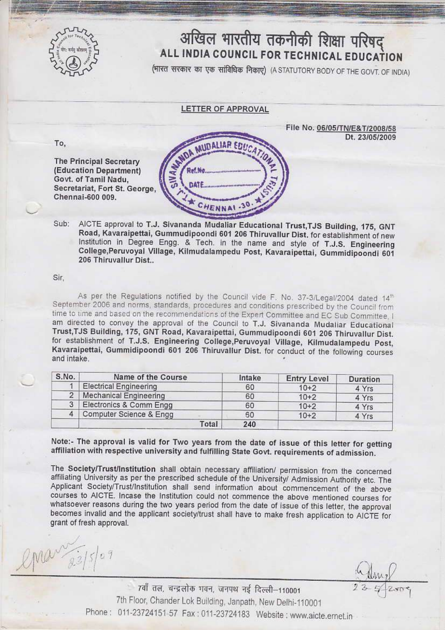

# अखिल भारतीय तकनीकी शिक्षा परिषद ALL INDIA COUNCIL FOR TECHNICAL EDUCATION

(भारत सरकार का एक सांविधिक निकाए) (A STATUTORY BODY OF THE GOVT, OF INDIA)

LETTER OF APPROVAL

To,

The Principal Secretary (Education Department) Govt. of Tamil Nadu. Secretariat, Fort St. George, Chennai-600 009.



File No. 06/05/TN/E&T/2008/58 Dt. 23/05/2009

AICTE approval to T.J. Sivananda Mudaliar Educational Trust, TJS Building, 175, GNT Sub: Road, Kavaraipettai, Gummudipoondi 601 206 Thiruvallur Dist. for establishment of new Institution in Degree Engg. & Tech. in the name and style of T.J.S. Engineering College, Peruvoyal Village, Kilmudalampedu Post, Kavaraipettai, Gummidipoondi 601 206 Thiruvallur Dist..

### Sir.

As per the Regulations notified by the Council vide F. No. 37-3/Legal/2004 dated 14th September 2006 and norms, standards, procedures and conditions prescribed by the Council from time to time and based on the recommendations of the Expert Committee and EC Sub Committee, I am directed to convey the approval of the Council to T.J. Sivananda Mudaliar Educational Trust, TJS Building, 175, GNT Road, Kavaraipettai, Gummudipoondi 601 206 Thiruvallur Dist. for establishment of T.J.S. Engineering College, Peruvoyal Village, Kilmudalampedu Post, Kavaraipettai, Gummidipoondi 601 206 Thiruvallur Dist. for conduct of the following courses and intake.

| S.No. | Name of the Course            | Intake | <b>Entry Level</b> | Duration |
|-------|-------------------------------|--------|--------------------|----------|
|       | <b>Electrical Engineering</b> | 60     | $10 + 2$           | 4 Yrs    |
|       | <b>Mechanical Engineering</b> | 60     | $10+2$             | 4 Yrs    |
| 3     | Electronics & Comm Engg       | 60     | $10 + 2$           | 4 Yrs    |
|       | Computer Science & Engg       | 60     | $10 + 2$           | 4 Yrs    |
|       | Total                         | 240    |                    |          |

Note:- The approval is valid for Two years from the date of issue of this letter for getting affiliation with respective university and fulfilling State Govt. requirements of admission.

The Society/Trust/Institution shall obtain necessary affiliation/ permission from the concerned affiliating University as per the prescribed schedule of the University/ Admission Authority etc. The Applicant Society/Trust/Institution shall send information about commencement of the above courses to AICTE. Incase the Institution could not commence the above mentioned courses for whatsoever reasons during the two years period from the date of issue of this letter, the approval becomes invalid and the applicant society/trust shall have to make fresh application to AICTE for grant of fresh approval.

 $\text{max}_{2^3}^{\prime}$ 

7वाँ तल, चन्द्रलोक गवन, जनपथ नई दिल्ली-110001 7th Floor, Chander Lok Building, Janpath, New Delhi-110001 Phone: 011-23724151-57 Fax: 011-23724183 Website: www.aicte.ernet.in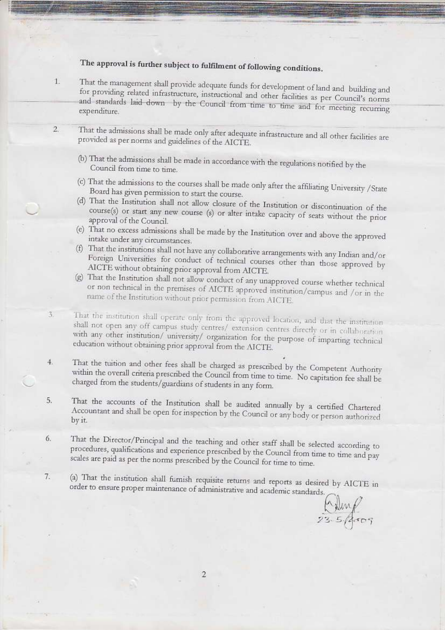## The approval is further subject to fulfilment of following conditions.

 $\mathbf{I}$ .

That the management shall provide adequate funds for development of land and building and for providing related infrastructure, instructional and other facilities as per Council's norms and standards laid down by the Council from time to time and for meeting recurring expenditure.

- That the admissions shall be made only after adequate infrastructure and all other facilities are  $2.$ provided as per norms and guidelines of the AICTE.
	- (b) That the admissions shall be made in accordance with the regulations notified by the Council from time to time.
	- (c) That the admissions to the courses shall be made only after the affiliating University / State Board has given permission to start the course.
	- (d) That the Institution shall not allow closure of the Institution or discontinuation of the course(s) or start any new course (s) or alter intake capacity of seats without the prior approval of the Council.
	- (e) That no excess admissions shall be made by the Institution over and above the approved intake under any circumstances.
	- (f) That the institutions shall not have any collaborative arrangements with any Indian and/or Foreign Universities for conduct of technical courses other than those approved by AICTE without obtaining prior approval from AICTE.
	- (g) That the Institution shall not allow conduct of any unapproved course whether technical or non technical in the premises of AICTE approved institution/campus and /or in the name of the Institution without prior permission from AICTE.
- That the institution shall operate only from the approved location, and that the institution 3. shall not open any off campus study centres/ extension centres directly or in collaboration with any other institution/ university/ organization for the purpose of imparting technical education without obtaining prior approval from the AICTE.
- That the tuition and other fees shall be charged as prescribed by the Competent Authority 4. within the overall criteria prescribed the Council from time to time. No capitation fee shall be charged from the students/guardians of students in any form.
- That the accounts of the Institution shall be audited annually by a certified Chartered 5. Accountant and shall be open for inspection by the Council or any body or person authorized by it.
- That the Director/Principal and the teaching and other staff shall be selected according to 6. procedures, qualifications and experience prescribed by the Council from time to time and pay scales are paid as per the norms prescribed by the Council for time to time.
- (a) That the institution shall furnish requisite returns and reports as desired by AICTE in 7. order to ensure proper maintenance of administrative and academic standards.

 $Mup$ 

 $\overline{2}$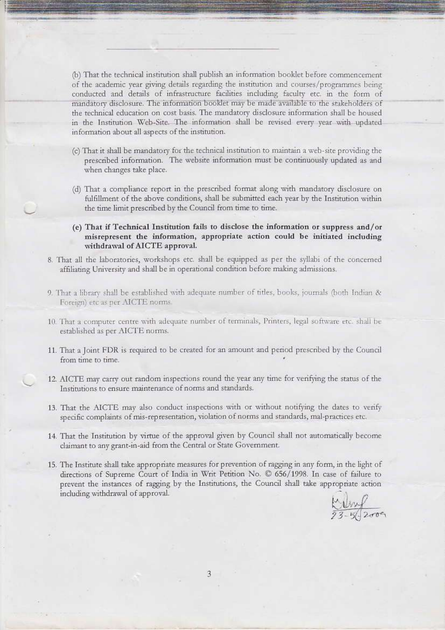(b) That the technical institution shall publish an information booklet before commencement of the academic year giving details regarding the institution and courses/programmes being conducted and details of infrastructure facilities including faculty etc. in the form of mandatory disclosure. The information booklet may be made available to the stakeholders of the technical education on cost basis. The mandatory disclosure information shall be housed in the Institution Web-Site. The information shall be revised every year with updated information about all aspects of the institution.

- (c) That it shall be mandatory for the technical institution to maintain a web-site providing the prescribed information. The website information must be continuously updated as and when changes take place.
- (d) That a compliance report in the prescribed format along with mandatory disclosure on fulfillment of the above conditions, shall be submitted each year by the Institution within the time limit prescribed by the Council from time to time.
- (e) That if Technical Institution fails to disclose the information or suppress and/or misrepresent the information, appropriate action could be initiated including withdrawal of AICTE approval.
- 8. That all the laboratories, workshops etc. shall be equipped as per the syllabi of the concerned affiliating University and shall be in operational condition before making admissions.
- 9. That a library shall be established with adequate number of titles, books, journals (both Indian & Foreign) etc as per AICTE norms.
- 10. That a computer centre with adequate number of terminals, Printers, legal software etc. shall be established as per AICTE norms.
- 11. That a Joint FDR is required to be created for an amount and period prescribed by the Council from time to time.
- 12. AICTE may carry out random inspections round the year any time for verifying the status of the Institutions to ensure maintenance of norms and standards.
- 13. That the AICTE may also conduct inspections with or without notifying the dates to verify specific complaints of mis-representation, violation of norms and standards, mal-practices etc.
- 14. That the Institution by virtue of the approval given by Council shall not automatically become claimant to any grant-in-aid from the Central or State Government.
- 15. The Institute shall take appropriate measures for prevention of ragging in any form, in the light of directions of Supreme Court of India in Writ Petition No. C 656/1998. In case of failure to prevent the instances of ragging by the Institutions, the Council shall take appropriate action including withdrawal of approval.

 $W + 2009$